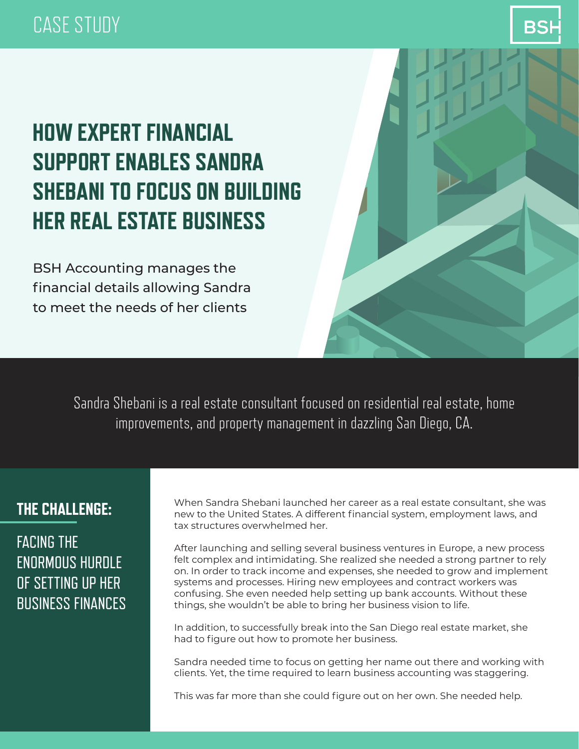## CASE STUDY



# **HOW EXPERT FINANCIAL SUPPORT ENABLES SANDRA SHEBANI TO FOCUS ON BUILDING HER REAL ESTATE BUSINESS**

BSH Accounting manages the financial details allowing Sandra to meet the needs of her clients

> Sandra Shebani is a real estate consultant focused on residential real estate, home improvements, and property management in dazzling San Diego, CA.

### **THE CHALLENGE:**

FACING THE ENORMOUS HURDLE OF SETTING UP HER BUSINESS FINANCES When Sandra Shebani launched her career as a real estate consultant, she was new to the United States. A different financial system, employment laws, and tax structures overwhelmed her.

After launching and selling several business ventures in Europe, a new process felt complex and intimidating. She realized she needed a strong partner to rely on. In order to track income and expenses, she needed to grow and implement systems and processes. Hiring new employees and contract workers was confusing. She even needed help setting up bank accounts. Without these things, she wouldn't be able to bring her business vision to life.

In addition, to successfully break into the San Diego real estate market, she had to figure out how to promote her business.

Sandra needed time to focus on getting her name out there and working with clients. Yet, the time required to learn business accounting was staggering.

This was far more than she could figure out on her own. She needed help.